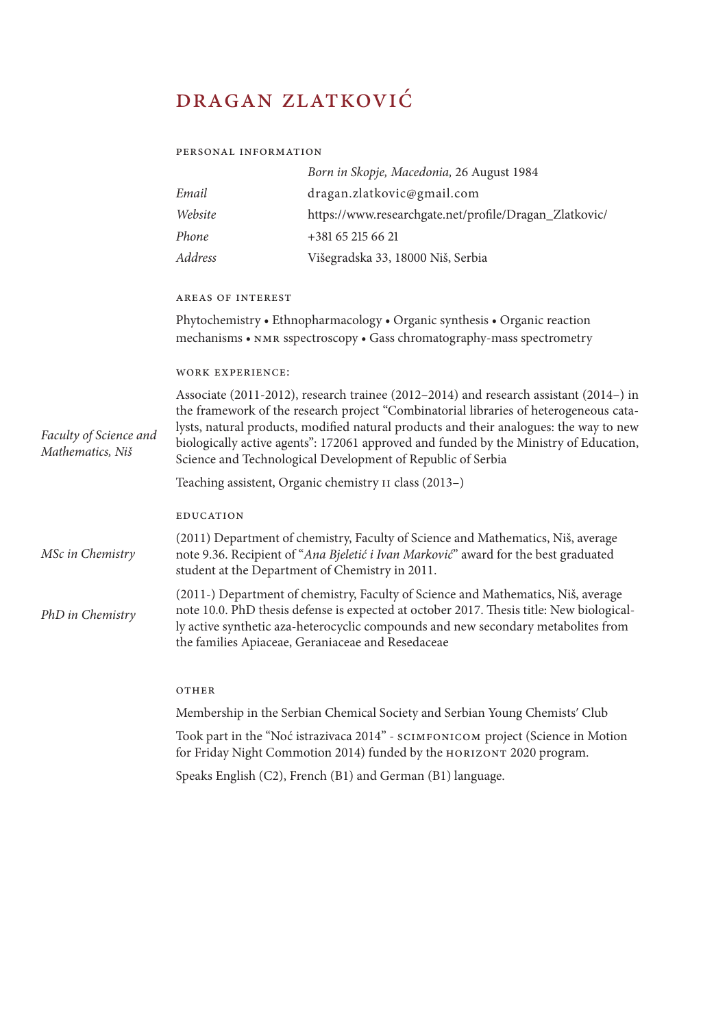# dragan zlatković

#### personal information

|         | Born in Skopje, Macedonia, 26 August 1984              |
|---------|--------------------------------------------------------|
| Email   | dragan.zlatkovic@gmail.com                             |
| Website | https://www.researchgate.net/profile/Dragan_Zlatkovic/ |
| Phone   | $+381652156621$                                        |
| Address | Višegradska 33, 18000 Niš, Serbia                      |
|         |                                                        |

## areas of interest

Phytochemistry • Ethnopharmacology • Organic synthesis • Organic reaction mechanisms • nmr sspectroscopy • Gass chromatography-mass spectrometry

## work experience:

Associate (2011-2012), research trainee (2012–2014) and research assistant (2014–) in the framework of the research project "Combinatorial libraries of heterogeneous catalysts, natural products, modified natural products and their analogues: the way to new biologically active agents": 172061 approved and funded by the Ministry of Education, Science and Technological Development of Republic of Serbia *Faculty of Science and Mathematics, Niš* 

Teaching assistent, Organic chemistry ii class (2013–)

## **EDUCATION**

(2011) Department of chemistry, Faculty of Science and Mathematics, Niš, average note 9.36. Recipient of "*Ana Bjeletić i Ivan Marković*" award for the best graduated student at the Department of Chemistry in 2011. *MSc in Chemistry*

(2011-) Department of chemistry, Faculty of Science and Mathematics, Niš, average note 10.0. PhD thesis defense is expected at october 2017. Thesis title: New biologically active synthetic aza-heterocyclic compounds and new secondary metabolites from the families Apiaceae, Geraniaceae and Resedaceae *PhD in Chemistry*

### OTHER

Membership in the Serbian Chemical Society and Serbian Young Chemistsʹ Club

Took part in the "Noć istrazivaca 2014" - scimfonicom project (Science in Motion for Friday Night Commotion 2014) funded by the HORIZONT 2020 program.

Speaks English (C2), French (B1) and German (B1) language.